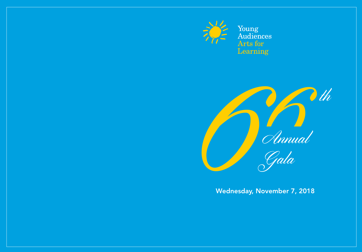

Young<br>Audiences

Theoring<br>Learning<br>*Chinual*<br>*Gala*<br>Wednesday, November 7, 2018 Gala

Wednesday, November 7, 2018